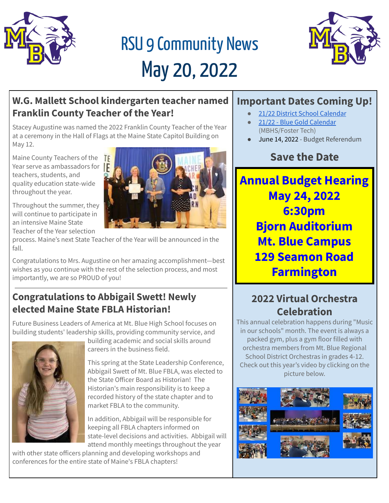

# RSU 9 Community News May 20, 2022



#### **W.G. Mallett School kindergarten teacher named Franklin County Teacher of the Year!**

Stacey Augustine was named the 2022 Franklin County Teacher of the Year at a ceremony in the Hall of Flags at the Maine State Capitol Building on May 12.

Maine County Teachers of the Year serve as ambassadors for  $\|\mathbf{F}\|$ teachers, students, and quality education state-wide throughout the year.

Throughout the summer, they will continue to participate in an intensive Maine State Teacher of the Year selection



process. Maine's next State Teacher of the Year will be announced in the fall.

Congratulations to Mrs. Augustine on her amazing accomplishment—best wishes as you continue with the rest of the selection process, and most importantly, we are so PROUD of you!

#### **Congratulations to Abbigail Swett! Newly elected Maine State FBLA Historian!**

Future Business Leaders of America at Mt. Blue High School focuses on building students' leadership skills, providing community service, and



building academic and social skills around careers in the business field.

This spring at the State Leadership Conference, Abbigail Swett of Mt. Blue FBLA, was elected to the State Officer Board as Historian! The Historian's main responsibility is to keep a recorded history of the state chapter and to market FBLA to the community.

In addition, Abbigail will be responsible for keeping all FBLA chapters informed on state-level decisions and activities. Abbigail will attend monthly meetings throughout the year

with other state officers planning and developing workshops and conferences for the entire state of Maine's FBLA chapters!

## **Important Dates Coming Up!**

- 21/22 District School [Calendar](https://cdn.branchcms.com/yeQ4XpK43n-1155/docs/district/downloadable-calendars/2021-2022_Calendar_Revised_2021Oct26-1.pdf)
- 21/22 Blue Gold [Calendar](https://cdn.branchcms.com/yeQ4XpK43n-1155/docs/district/downloadable-calendars/2021-2022_B-G-Calendar_Revised_2021Oct26.pdf) (MBHS/Foster Tech)
- June 14, 2022 Budget Referendum

# **Save the Date**

**Annual Budget Hearing May 24, 2022 6:30pm Bjorn Auditorium Mt. Blue Campus 129 Seamon Road Farmington**

## **2022 Virtual Orchestra Celebration**

This annual celebration happens during "Music in our schools" month. The event is always a packed gym, plus a gym floor filled with orchestra members from Mt. Blue Regional School District Orchestras in grades 4-12. Check out this year's video by clicking on the picture below.